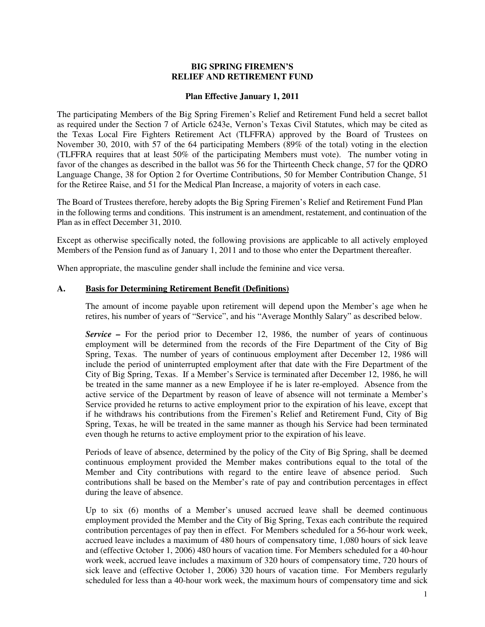## **BIG SPRING FIREMEN'S RELIEF AND RETIREMENT FUND**

#### **Plan Effective January 1, 2011**

The participating Members of the Big Spring Firemen's Relief and Retirement Fund held a secret ballot as required under the Section 7 of Article 6243e, Vernon's Texas Civil Statutes, which may be cited as the Texas Local Fire Fighters Retirement Act (TLFFRA) approved by the Board of Trustees on November 30, 2010, with 57 of the 64 participating Members (89% of the total) voting in the election (TLFFRA requires that at least 50% of the participating Members must vote). The number voting in favor of the changes as described in the ballot was 56 for the Thirteenth Check change, 57 for the QDRO Language Change, 38 for Option 2 for Overtime Contributions, 50 for Member Contribution Change, 51 for the Retiree Raise, and 51 for the Medical Plan Increase, a majority of voters in each case.

The Board of Trustees therefore, hereby adopts the Big Spring Firemen's Relief and Retirement Fund Plan in the following terms and conditions. This instrument is an amendment, restatement, and continuation of the Plan as in effect December 31, 2010.

Except as otherwise specifically noted, the following provisions are applicable to all actively employed Members of the Pension fund as of January 1, 2011 and to those who enter the Department thereafter.

When appropriate, the masculine gender shall include the feminine and vice versa.

## **A. Basis for Determining Retirement Benefit (Definitions)**

The amount of income payable upon retirement will depend upon the Member's age when he retires, his number of years of "Service", and his "Average Monthly Salary" as described below.

*Service –* For the period prior to December 12, 1986, the number of years of continuous employment will be determined from the records of the Fire Department of the City of Big Spring, Texas. The number of years of continuous employment after December 12, 1986 will include the period of uninterrupted employment after that date with the Fire Department of the City of Big Spring, Texas. If a Member's Service is terminated after December 12, 1986, he will be treated in the same manner as a new Employee if he is later re-employed. Absence from the active service of the Department by reason of leave of absence will not terminate a Member's Service provided he returns to active employment prior to the expiration of his leave, except that if he withdraws his contributions from the Firemen's Relief and Retirement Fund, City of Big Spring, Texas, he will be treated in the same manner as though his Service had been terminated even though he returns to active employment prior to the expiration of his leave.

Periods of leave of absence, determined by the policy of the City of Big Spring, shall be deemed continuous employment provided the Member makes contributions equal to the total of the Member and City contributions with regard to the entire leave of absence period. Such contributions shall be based on the Member's rate of pay and contribution percentages in effect during the leave of absence.

Up to six (6) months of a Member's unused accrued leave shall be deemed continuous employment provided the Member and the City of Big Spring, Texas each contribute the required contribution percentages of pay then in effect. For Members scheduled for a 56-hour work week, accrued leave includes a maximum of 480 hours of compensatory time, 1,080 hours of sick leave and (effective October 1, 2006) 480 hours of vacation time. For Members scheduled for a 40-hour work week, accrued leave includes a maximum of 320 hours of compensatory time, 720 hours of sick leave and (effective October 1, 2006) 320 hours of vacation time. For Members regularly scheduled for less than a 40-hour work week, the maximum hours of compensatory time and sick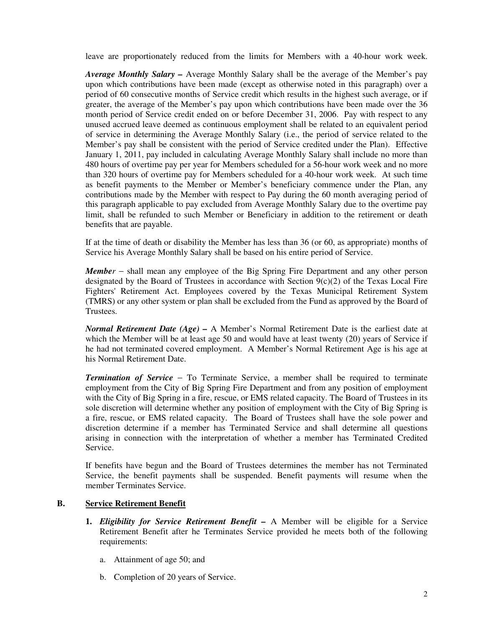leave are proportionately reduced from the limits for Members with a 40-hour work week.

*Average Monthly Salary –* Average Monthly Salary shall be the average of the Member's pay upon which contributions have been made (except as otherwise noted in this paragraph) over a period of 60 consecutive months of Service credit which results in the highest such average, or if greater, the average of the Member's pay upon which contributions have been made over the 36 month period of Service credit ended on or before December 31, 2006. Pay with respect to any unused accrued leave deemed as continuous employment shall be related to an equivalent period of service in determining the Average Monthly Salary (i.e., the period of service related to the Member's pay shall be consistent with the period of Service credited under the Plan). Effective January 1, 2011, pay included in calculating Average Monthly Salary shall include no more than 480 hours of overtime pay per year for Members scheduled for a 56-hour work week and no more than 320 hours of overtime pay for Members scheduled for a 40-hour work week. At such time as benefit payments to the Member or Member's beneficiary commence under the Plan, any contributions made by the Member with respect to Pay during the 60 month averaging period of this paragraph applicable to pay excluded from Average Monthly Salary due to the overtime pay limit, shall be refunded to such Member or Beneficiary in addition to the retirement or death benefits that are payable.

If at the time of death or disability the Member has less than 36 (or 60, as appropriate) months of Service his Average Monthly Salary shall be based on his entire period of Service.

*Member* − shall mean any employee of the Big Spring Fire Department and any other person designated by the Board of Trustees in accordance with Section  $9(c)(2)$  of the Texas Local Fire Fighters' Retirement Act. Employees covered by the Texas Municipal Retirement System (TMRS) or any other system or plan shall be excluded from the Fund as approved by the Board of Trustees.

*Normal Retirement Date (Age) –* A Member's Normal Retirement Date is the earliest date at which the Member will be at least age 50 and would have at least twenty (20) years of Service if he had not terminated covered employment. A Member's Normal Retirement Age is his age at his Normal Retirement Date.

*Termination of Service* − To Terminate Service, a member shall be required to terminate employment from the City of Big Spring Fire Department and from any position of employment with the City of Big Spring in a fire, rescue, or EMS related capacity. The Board of Trustees in its sole discretion will determine whether any position of employment with the City of Big Spring is a fire, rescue, or EMS related capacity. The Board of Trustees shall have the sole power and discretion determine if a member has Terminated Service and shall determine all questions arising in connection with the interpretation of whether a member has Terminated Credited Service.

If benefits have begun and the Board of Trustees determines the member has not Terminated Service, the benefit payments shall be suspended. Benefit payments will resume when the member Terminates Service.

## **B. Service Retirement Benefit**

- **1.** *Eligibility for Service Retirement Benefit* A Member will be eligible for a Service Retirement Benefit after he Terminates Service provided he meets both of the following requirements:
	- a. Attainment of age 50; and
	- b. Completion of 20 years of Service.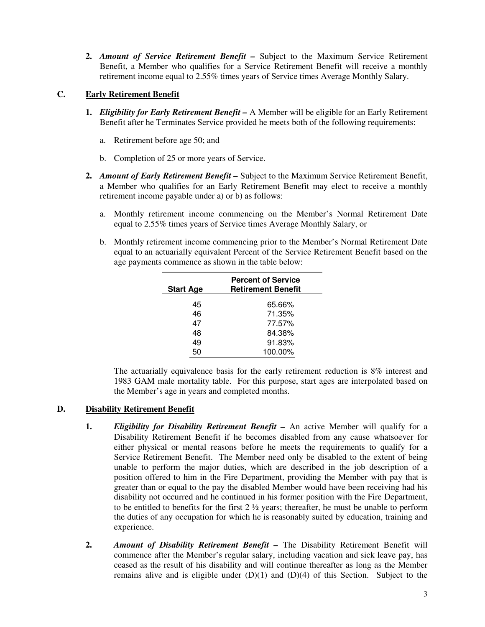**2.** *Amount of Service Retirement Benefit –* Subject to the Maximum Service Retirement Benefit, a Member who qualifies for a Service Retirement Benefit will receive a monthly retirement income equal to 2.55% times years of Service times Average Monthly Salary.

## **C. Early Retirement Benefit**

- **1.** *Eligibility for Early Retirement Benefit* A Member will be eligible for an Early Retirement Benefit after he Terminates Service provided he meets both of the following requirements:
	- a. Retirement before age 50; and
	- b. Completion of 25 or more years of Service.
- **2.** *Amount of Early Retirement Benefit* Subject to the Maximum Service Retirement Benefit, a Member who qualifies for an Early Retirement Benefit may elect to receive a monthly retirement income payable under a) or b) as follows:
	- a. Monthly retirement income commencing on the Member's Normal Retirement Date equal to 2.55% times years of Service times Average Monthly Salary, or
	- b. Monthly retirement income commencing prior to the Member's Normal Retirement Date equal to an actuarially equivalent Percent of the Service Retirement Benefit based on the age payments commence as shown in the table below:

| <b>Start Age</b> | <b>Percent of Service</b><br><b>Retirement Benefit</b> |
|------------------|--------------------------------------------------------|
| 45               | 65.66%                                                 |
| 46               | 71.35%                                                 |
| 47               | 77.57%                                                 |
| 48               | 84.38%                                                 |
| 49               | 91.83%                                                 |
| 50               | 100.00%                                                |

The actuarially equivalence basis for the early retirement reduction is 8% interest and 1983 GAM male mortality table. For this purpose, start ages are interpolated based on the Member's age in years and completed months.

# **D. Disability Retirement Benefit**

- **1.** *Eligibility for Disability Retirement Benefit* An active Member will qualify for a Disability Retirement Benefit if he becomes disabled from any cause whatsoever for either physical or mental reasons before he meets the requirements to qualify for a Service Retirement Benefit. The Member need only be disabled to the extent of being unable to perform the major duties, which are described in the job description of a position offered to him in the Fire Department, providing the Member with pay that is greater than or equal to the pay the disabled Member would have been receiving had his disability not occurred and he continued in his former position with the Fire Department, to be entitled to benefits for the first 2 ½ years; thereafter, he must be unable to perform the duties of any occupation for which he is reasonably suited by education, training and experience.
- **2.** *Amount of Disability Retirement Benefit* The Disability Retirement Benefit will commence after the Member's regular salary, including vacation and sick leave pay, has ceased as the result of his disability and will continue thereafter as long as the Member remains alive and is eligible under  $(D)(1)$  and  $(D)(4)$  of this Section. Subject to the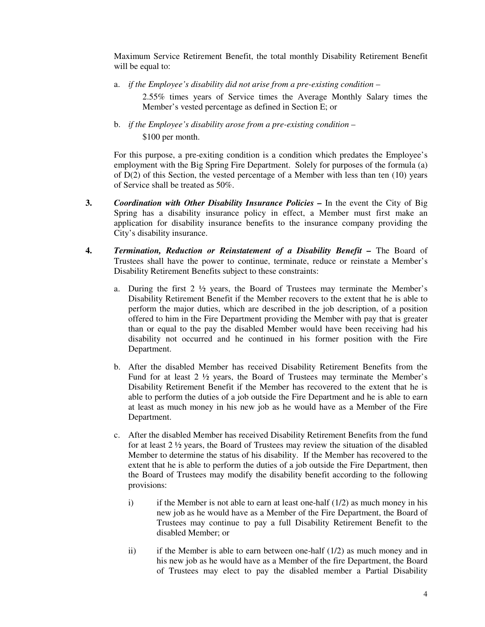Maximum Service Retirement Benefit, the total monthly Disability Retirement Benefit will be equal to:

a. *if the Employee's disability did not arise from a pre-existing condition* –

2.55% times years of Service times the Average Monthly Salary times the Member's vested percentage as defined in Section E; or

b. *if the Employee's disability arose from a pre-existing condition* – \$100 per month.

For this purpose, a pre-exiting condition is a condition which predates the Employee's employment with the Big Spring Fire Department. Solely for purposes of the formula (a) of  $D(2)$  of this Section, the vested percentage of a Member with less than ten (10) years of Service shall be treated as 50%.

- **3.** *Coordination with Other Disability Insurance Policies* In the event the City of Big Spring has a disability insurance policy in effect, a Member must first make an application for disability insurance benefits to the insurance company providing the City's disability insurance.
- **4.** *Termination, Reduction or Reinstatement of a Disability Benefit* The Board of Trustees shall have the power to continue, terminate, reduce or reinstate a Member's Disability Retirement Benefits subject to these constraints:
	- a. During the first  $2 \frac{1}{2}$  years, the Board of Trustees may terminate the Member's Disability Retirement Benefit if the Member recovers to the extent that he is able to perform the major duties, which are described in the job description, of a position offered to him in the Fire Department providing the Member with pay that is greater than or equal to the pay the disabled Member would have been receiving had his disability not occurred and he continued in his former position with the Fire Department.
	- b. After the disabled Member has received Disability Retirement Benefits from the Fund for at least 2 ½ years, the Board of Trustees may terminate the Member's Disability Retirement Benefit if the Member has recovered to the extent that he is able to perform the duties of a job outside the Fire Department and he is able to earn at least as much money in his new job as he would have as a Member of the Fire Department.
	- c. After the disabled Member has received Disability Retirement Benefits from the fund for at least 2 ½ years, the Board of Trustees may review the situation of the disabled Member to determine the status of his disability. If the Member has recovered to the extent that he is able to perform the duties of a job outside the Fire Department, then the Board of Trustees may modify the disability benefit according to the following provisions:
		- i) if the Member is not able to earn at least one-half  $(1/2)$  as much money in his new job as he would have as a Member of the Fire Department, the Board of Trustees may continue to pay a full Disability Retirement Benefit to the disabled Member; or
		- ii) if the Member is able to earn between one-half  $(1/2)$  as much money and in his new job as he would have as a Member of the fire Department, the Board of Trustees may elect to pay the disabled member a Partial Disability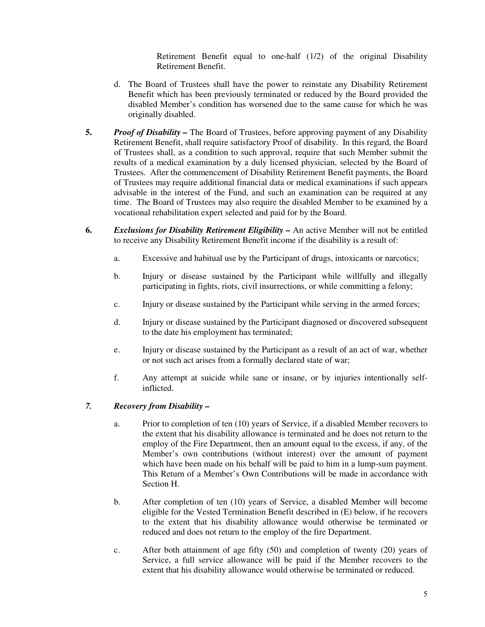Retirement Benefit equal to one-half (1/2) of the original Disability Retirement Benefit.

- d. The Board of Trustees shall have the power to reinstate any Disability Retirement Benefit which has been previously terminated or reduced by the Board provided the disabled Member's condition has worsened due to the same cause for which he was originally disabled.
- **5.** *Proof of Disability* The Board of Trustees, before approving payment of any Disability Retirement Benefit, shall require satisfactory Proof of disability. In this regard, the Board of Trustees shall, as a condition to such approval, require that such Member submit the results of a medical examination by a duly licensed physician, selected by the Board of Trustees. After the commencement of Disability Retirement Benefit payments, the Board of Trustees may require additional financial data or medical examinations if such appears advisable in the interest of the Fund, and such an examination can be required at any time. The Board of Trustees may also require the disabled Member to be examined by a vocational rehabilitation expert selected and paid for by the Board.
- **6.** *Exclusions for Disability Retirement Eligibility* An active Member will not be entitled to receive any Disability Retirement Benefit income if the disability is a result of:
	- a. Excessive and habitual use by the Participant of drugs, intoxicants or narcotics;
	- b. Injury or disease sustained by the Participant while willfully and illegally participating in fights, riots, civil insurrections, or while committing a felony;
	- c. Injury or disease sustained by the Participant while serving in the armed forces;
	- d. Injury or disease sustained by the Participant diagnosed or discovered subsequent to the date his employment has terminated;
	- e. Injury or disease sustained by the Participant as a result of an act of war, whether or not such act arises from a formally declared state of war;
	- f. Any attempt at suicide while sane or insane, or by injuries intentionally selfinflicted.

## *7. Recovery from Disability –*

- a. Prior to completion of ten (10) years of Service, if a disabled Member recovers to the extent that his disability allowance is terminated and he does not return to the employ of the Fire Department, then an amount equal to the excess, if any, of the Member's own contributions (without interest) over the amount of payment which have been made on his behalf will be paid to him in a lump-sum payment. This Return of a Member's Own Contributions will be made in accordance with Section H.
- b. After completion of ten (10) years of Service, a disabled Member will become eligible for the Vested Termination Benefit described in (E) below, if he recovers to the extent that his disability allowance would otherwise be terminated or reduced and does not return to the employ of the fire Department.
- c. After both attainment of age fifty (50) and completion of twenty (20) years of Service, a full service allowance will be paid if the Member recovers to the extent that his disability allowance would otherwise be terminated or reduced.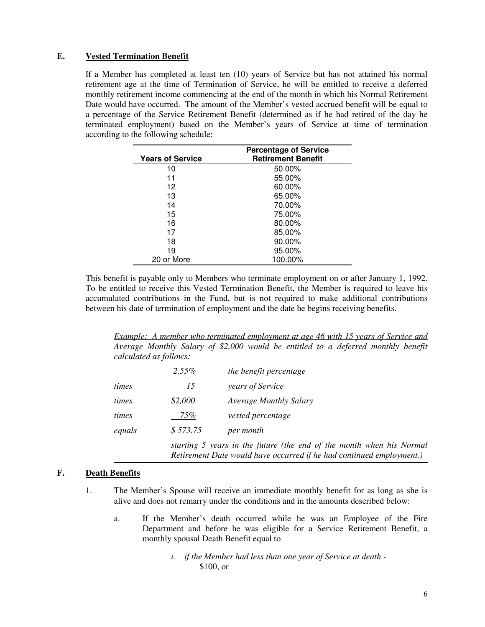## **E. Vested Termination Benefit**

If a Member has completed at least ten (10) years of Service but has not attained his normal retirement age at the time of Termination of Service, he will be entitled to receive a deferred monthly retirement income commencing at the end of the month in which his Normal Retirement Date would have occurred. The amount of the Member's vested accrued benefit will be equal to a percentage of the Service Retirement Benefit (determined as if he had retired of the day he terminated employment) based on the Member's years of Service at time of termination according to the following schedule:

| <b>Years of Service</b> | <b>Percentage of Service</b><br><b>Retirement Benefit</b> |
|-------------------------|-----------------------------------------------------------|
| 10                      | 50.00%                                                    |
| 11                      | 55.00%                                                    |
| 12                      | 60.00%                                                    |
| 13                      | 65.00%                                                    |
| 14                      | 70.00%                                                    |
| 15                      | 75.00%                                                    |
| 16                      | 80.00%                                                    |
| 17                      | 85.00%                                                    |
| 18                      | 90.00%                                                    |
| 19                      | 95.00%                                                    |
| 20 or More              | 100.00%                                                   |

This benefit is payable only to Members who terminate employment on or after January 1, 1992. To be entitled to receive this Vested Termination Benefit, the Member is required to leave his accumulated contributions in the Fund, but is not required to make additional contributions between his date of termination of employment and the date he begins receiving benefits.

*Example: A member who terminated employment at age 46 with 15 years of Service and Average Monthly Salary of \$2,000 would be entitled to a deferred monthly benefit calculated as follows:*

|        | $2.55\%$                                                                                                                                     | the benefit percentage        |
|--------|----------------------------------------------------------------------------------------------------------------------------------------------|-------------------------------|
| times  | 15                                                                                                                                           | years of Service              |
| times  | \$2,000                                                                                                                                      | <b>Average Monthly Salary</b> |
| times  | 75%                                                                                                                                          | vested percentage             |
| equals | \$573.75                                                                                                                                     | per month                     |
|        | starting 5 years in the future (the end of the month when his Normal<br>Retirement Date would have occurred if he had continued employment.) |                               |

# **F. Death Benefits**

- 1. The Member's Spouse will receive an immediate monthly benefit for as long as she is alive and does not remarry under the conditions and in the amounts described below:
	- a. If the Member's death occurred while he was an Employee of the Fire Department and before he was eligible for a Service Retirement Benefit, a monthly spousal Death Benefit equal to

*i. if the Member had less than one year of Service at death -* \$100, or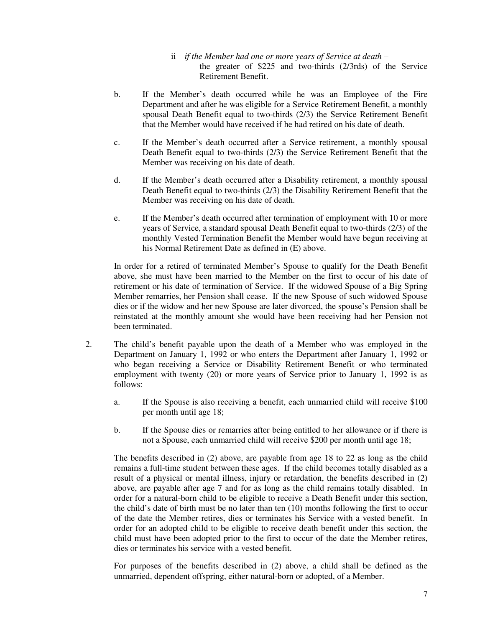- ii *if the Member had one or more years of Service at death –* the greater of \$225 and two-thirds (2/3rds) of the Service Retirement Benefit.
- b. If the Member's death occurred while he was an Employee of the Fire Department and after he was eligible for a Service Retirement Benefit, a monthly spousal Death Benefit equal to two-thirds (2/3) the Service Retirement Benefit that the Member would have received if he had retired on his date of death.
- c. If the Member's death occurred after a Service retirement, a monthly spousal Death Benefit equal to two-thirds (2/3) the Service Retirement Benefit that the Member was receiving on his date of death.
- d. If the Member's death occurred after a Disability retirement, a monthly spousal Death Benefit equal to two-thirds (2/3) the Disability Retirement Benefit that the Member was receiving on his date of death.
- e. If the Member's death occurred after termination of employment with 10 or more years of Service, a standard spousal Death Benefit equal to two-thirds (2/3) of the monthly Vested Termination Benefit the Member would have begun receiving at his Normal Retirement Date as defined in (E) above.

In order for a retired of terminated Member's Spouse to qualify for the Death Benefit above, she must have been married to the Member on the first to occur of his date of retirement or his date of termination of Service. If the widowed Spouse of a Big Spring Member remarries, her Pension shall cease. If the new Spouse of such widowed Spouse dies or if the widow and her new Spouse are later divorced, the spouse's Pension shall be reinstated at the monthly amount she would have been receiving had her Pension not been terminated.

- 2. The child's benefit payable upon the death of a Member who was employed in the Department on January 1, 1992 or who enters the Department after January 1, 1992 or who began receiving a Service or Disability Retirement Benefit or who terminated employment with twenty (20) or more years of Service prior to January 1, 1992 is as follows:
	- a. If the Spouse is also receiving a benefit, each unmarried child will receive \$100 per month until age 18;
	- b. If the Spouse dies or remarries after being entitled to her allowance or if there is not a Spouse, each unmarried child will receive \$200 per month until age 18;

The benefits described in (2) above, are payable from age 18 to 22 as long as the child remains a full-time student between these ages. If the child becomes totally disabled as a result of a physical or mental illness, injury or retardation, the benefits described in (2) above, are payable after age 7 and for as long as the child remains totally disabled. In order for a natural-born child to be eligible to receive a Death Benefit under this section, the child's date of birth must be no later than ten (10) months following the first to occur of the date the Member retires, dies or terminates his Service with a vested benefit. In order for an adopted child to be eligible to receive death benefit under this section, the child must have been adopted prior to the first to occur of the date the Member retires, dies or terminates his service with a vested benefit.

For purposes of the benefits described in (2) above, a child shall be defined as the unmarried, dependent offspring, either natural-born or adopted, of a Member.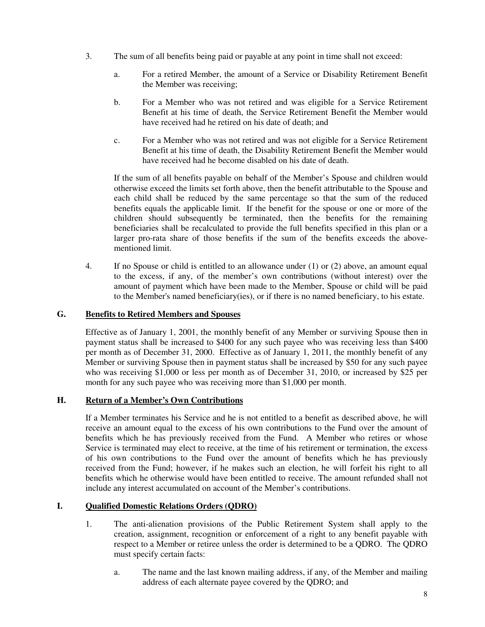- 3. The sum of all benefits being paid or payable at any point in time shall not exceed:
	- a. For a retired Member, the amount of a Service or Disability Retirement Benefit the Member was receiving;
	- b. For a Member who was not retired and was eligible for a Service Retirement Benefit at his time of death, the Service Retirement Benefit the Member would have received had he retired on his date of death; and
	- c. For a Member who was not retired and was not eligible for a Service Retirement Benefit at his time of death, the Disability Retirement Benefit the Member would have received had he become disabled on his date of death.

If the sum of all benefits payable on behalf of the Member's Spouse and children would otherwise exceed the limits set forth above, then the benefit attributable to the Spouse and each child shall be reduced by the same percentage so that the sum of the reduced benefits equals the applicable limit. If the benefit for the spouse or one or more of the children should subsequently be terminated, then the benefits for the remaining beneficiaries shall be recalculated to provide the full benefits specified in this plan or a larger pro-rata share of those benefits if the sum of the benefits exceeds the abovementioned limit.

4. If no Spouse or child is entitled to an allowance under (1) or (2) above, an amount equal to the excess, if any, of the member's own contributions (without interest) over the amount of payment which have been made to the Member, Spouse or child will be paid to the Member's named beneficiary(ies), or if there is no named beneficiary, to his estate.

## **G. Benefits to Retired Members and Spouses**

Effective as of January 1, 2001, the monthly benefit of any Member or surviving Spouse then in payment status shall be increased to \$400 for any such payee who was receiving less than \$400 per month as of December 31, 2000. Effective as of January 1, 2011, the monthly benefit of any Member or surviving Spouse then in payment status shall be increased by \$50 for any such payee who was receiving \$1,000 or less per month as of December 31, 2010, or increased by \$25 per month for any such payee who was receiving more than \$1,000 per month.

## **H. Return of a Member's Own Contributions**

If a Member terminates his Service and he is not entitled to a benefit as described above, he will receive an amount equal to the excess of his own contributions to the Fund over the amount of benefits which he has previously received from the Fund. A Member who retires or whose Service is terminated may elect to receive, at the time of his retirement or termination, the excess of his own contributions to the Fund over the amount of benefits which he has previously received from the Fund; however, if he makes such an election, he will forfeit his right to all benefits which he otherwise would have been entitled to receive. The amount refunded shall not include any interest accumulated on account of the Member's contributions.

# **I. Qualified Domestic Relations Orders (QDRO)**

- 1. The anti-alienation provisions of the Public Retirement System shall apply to the creation, assignment, recognition or enforcement of a right to any benefit payable with respect to a Member or retiree unless the order is determined to be a QDRO. The QDRO must specify certain facts:
	- a. The name and the last known mailing address, if any, of the Member and mailing address of each alternate payee covered by the QDRO; and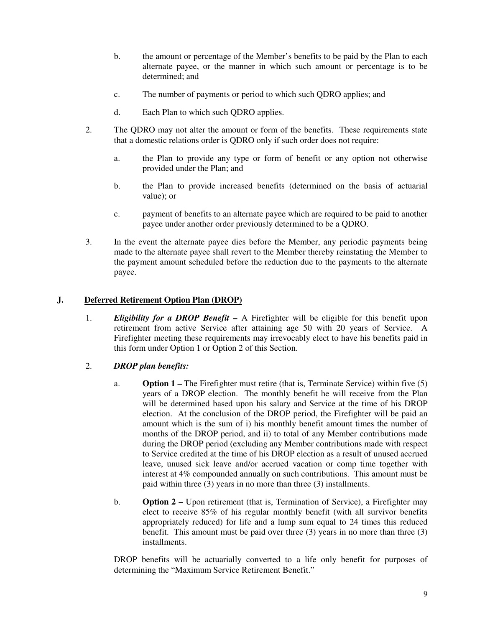- b. the amount or percentage of the Member's benefits to be paid by the Plan to each alternate payee, or the manner in which such amount or percentage is to be determined; and
- c. The number of payments or period to which such QDRO applies; and
- d. Each Plan to which such QDRO applies.
- 2. The QDRO may not alter the amount or form of the benefits. These requirements state that a domestic relations order is QDRO only if such order does not require:
	- a. the Plan to provide any type or form of benefit or any option not otherwise provided under the Plan; and
	- b. the Plan to provide increased benefits (determined on the basis of actuarial value); or
	- c. payment of benefits to an alternate payee which are required to be paid to another payee under another order previously determined to be a QDRO.
- 3. In the event the alternate payee dies before the Member, any periodic payments being made to the alternate payee shall revert to the Member thereby reinstating the Member to the payment amount scheduled before the reduction due to the payments to the alternate payee.

## **J. Deferred Retirement Option Plan (DROP)**

1. *Eligibility for a DROP Benefit –* A Firefighter will be eligible for this benefit upon retirement from active Service after attaining age 50 with 20 years of Service. A Firefighter meeting these requirements may irrevocably elect to have his benefits paid in this form under Option 1 or Option 2 of this Section.

# 2. *DROP plan benefits:*

- a. **Option 1** The Firefighter must retire (that is, Terminate Service) within five (5) years of a DROP election. The monthly benefit he will receive from the Plan will be determined based upon his salary and Service at the time of his DROP election. At the conclusion of the DROP period, the Firefighter will be paid an amount which is the sum of i) his monthly benefit amount times the number of months of the DROP period, and ii) to total of any Member contributions made during the DROP period (excluding any Member contributions made with respect to Service credited at the time of his DROP election as a result of unused accrued leave, unused sick leave and/or accrued vacation or comp time together with interest at 4% compounded annually on such contributions. This amount must be paid within three (3) years in no more than three (3) installments.
- b. **Option 2** Upon retirement (that is, Termination of Service), a Firefighter may elect to receive 85% of his regular monthly benefit (with all survivor benefits appropriately reduced) for life and a lump sum equal to 24 times this reduced benefit. This amount must be paid over three (3) years in no more than three (3) installments.

DROP benefits will be actuarially converted to a life only benefit for purposes of determining the "Maximum Service Retirement Benefit."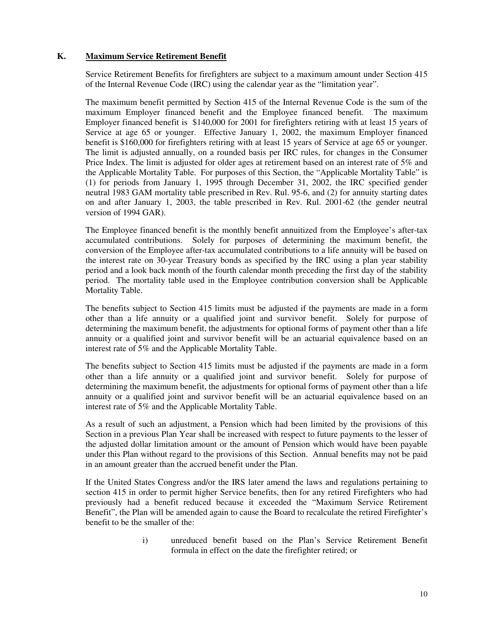## **K. Maximum Service Retirement Benefit**

Service Retirement Benefits for firefighters are subject to a maximum amount under Section 415 of the Internal Revenue Code (IRC) using the calendar year as the "limitation year".

The maximum benefit permitted by Section 415 of the Internal Revenue Code is the sum of the maximum Employer financed benefit and the Employee financed benefit. The maximum Employer financed benefit is \$140,000 for 2001 for firefighters retiring with at least 15 years of Service at age 65 or younger. Effective January 1, 2002, the maximum Employer financed benefit is \$160,000 for firefighters retiring with at least 15 years of Service at age 65 or younger. The limit is adjusted annually, on a rounded basis per IRC rules, for changes in the Consumer Price Index. The limit is adjusted for older ages at retirement based on an interest rate of 5% and the Applicable Mortality Table. For purposes of this Section, the "Applicable Mortality Table" is (1) for periods from January 1, 1995 through December 31, 2002, the IRC specified gender neutral 1983 GAM mortality table prescribed in Rev. Rul. 95-6, and (2) for annuity starting dates on and after January 1, 2003, the table prescribed in Rev. Rul. 2001-62 (the gender neutral version of 1994 GAR).

The Employee financed benefit is the monthly benefit annuitized from the Employee's after-tax accumulated contributions. Solely for purposes of determining the maximum benefit, the conversion of the Employee after-tax accumulated contributions to a life annuity will be based on the interest rate on 30-year Treasury bonds as specified by the IRC using a plan year stability period and a look back month of the fourth calendar month preceding the first day of the stability period. The mortality table used in the Employee contribution conversion shall be Applicable Mortality Table.

The benefits subject to Section 415 limits must be adjusted if the payments are made in a form other than a life annuity or a qualified joint and survivor benefit. Solely for purpose of determining the maximum benefit, the adjustments for optional forms of payment other than a life annuity or a qualified joint and survivor benefit will be an actuarial equivalence based on an interest rate of 5% and the Applicable Mortality Table.

The benefits subject to Section 415 limits must be adjusted if the payments are made in a form other than a life annuity or a qualified joint and survivor benefit. Solely for purpose of determining the maximum benefit, the adjustments for optional forms of payment other than a life annuity or a qualified joint and survivor benefit will be an actuarial equivalence based on an interest rate of 5% and the Applicable Mortality Table.

As a result of such an adjustment, a Pension which had been limited by the provisions of this Section in a previous Plan Year shall be increased with respect to future payments to the lesser of the adjusted dollar limitation amount or the amount of Pension which would have been payable under this Plan without regard to the provisions of this Section. Annual benefits may not be paid in an amount greater than the accrued benefit under the Plan.

If the United States Congress and/or the IRS later amend the laws and regulations pertaining to section 415 in order to permit higher Service benefits, then for any retired Firefighters who had previously had a benefit reduced because it exceeded the "Maximum Service Retirement Benefit", the Plan will be amended again to cause the Board to recalculate the retired Firefighter's benefit to be the smaller of the:

> i) unreduced benefit based on the Plan's Service Retirement Benefit formula in effect on the date the firefighter retired; or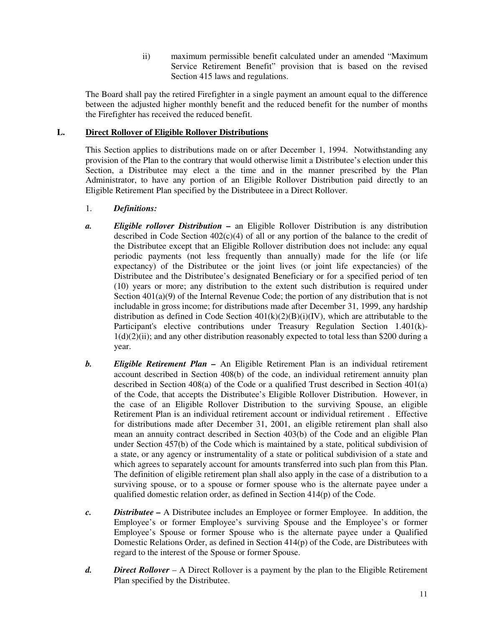ii) maximum permissible benefit calculated under an amended "Maximum Service Retirement Benefit" provision that is based on the revised Section 415 laws and regulations.

The Board shall pay the retired Firefighter in a single payment an amount equal to the difference between the adjusted higher monthly benefit and the reduced benefit for the number of months the Firefighter has received the reduced benefit.

## **L. Direct Rollover of Eligible Rollover Distributions**

This Section applies to distributions made on or after December 1, 1994. Notwithstanding any provision of the Plan to the contrary that would otherwise limit a Distributee's election under this Section, a Distributee may elect a the time and in the manner prescribed by the Plan Administrator, to have any portion of an Eligible Rollover Distribution paid directly to an Eligible Retirement Plan specified by the Distributeee in a Direct Rollover.

- 1. *Definitions:*
- *a. Eligible rollover Distribution* an Eligible Rollover Distribution is any distribution described in Code Section  $402(c)(4)$  of all or any portion of the balance to the credit of the Distributee except that an Eligible Rollover distribution does not include: any equal periodic payments (not less frequently than annually) made for the life (or life expectancy) of the Distributee or the joint lives (or joint life expectancies) of the Distributee and the Distributee's designated Beneficiary or for a specified period of ten (10) years or more; any distribution to the extent such distribution is required under Section  $401(a)(9)$  of the Internal Revenue Code; the portion of any distribution that is not includable in gross income; for distributions made after December 31, 1999, any hardship distribution as defined in Code Section  $401(k)(2)(B)(i)(IV)$ , which are attributable to the Participant's elective contributions under Treasury Regulation Section 1.401(k)-  $1(d)(2)(ii)$ ; and any other distribution reasonably expected to total less than \$200 during a year.
- *b. Eligible Retirement Plan* An Eligible Retirement Plan is an individual retirement account described in Section 408(b) of the code, an individual retirement annuity plan described in Section 408(a) of the Code or a qualified Trust described in Section 401(a) of the Code, that accepts the Distributee's Eligible Rollover Distribution. However, in the case of an Eligible Rollover Distribution to the surviving Spouse, an eligible Retirement Plan is an individual retirement account or individual retirement . Effective for distributions made after December 31, 2001, an eligible retirement plan shall also mean an annuity contract described in Section 403(b) of the Code and an eligible Plan under Section 457(b) of the Code which is maintained by a state, political subdivision of a state, or any agency or instrumentality of a state or political subdivision of a state and which agrees to separately account for amounts transferred into such plan from this Plan. The definition of eligible retirement plan shall also apply in the case of a distribution to a surviving spouse, or to a spouse or former spouse who is the alternate payee under a qualified domestic relation order, as defined in Section 414(p) of the Code.
- *c. Distributee* A Distributee includes an Employee or former Employee. In addition, the Employee's or former Employee's surviving Spouse and the Employee's or former Employee's Spouse or former Spouse who is the alternate payee under a Qualified Domestic Relations Order, as defined in Section 414(p) of the Code, are Distributees with regard to the interest of the Spouse or former Spouse.
- *d. Direct Rollover* A Direct Rollover is a payment by the plan to the Eligible Retirement Plan specified by the Distributee.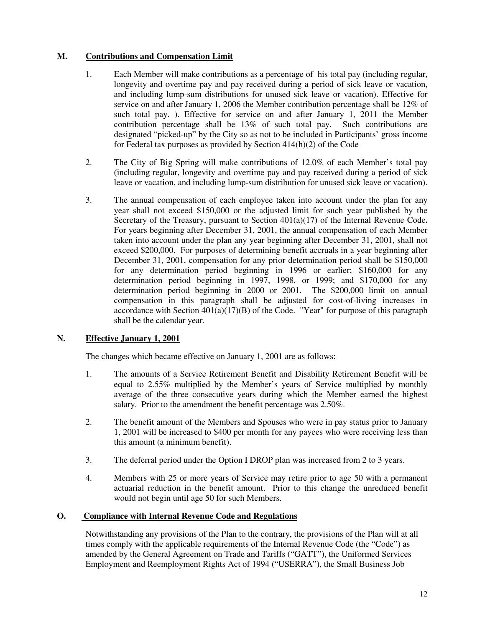# **M. Contributions and Compensation Limit**

- 1. Each Member will make contributions as a percentage of his total pay (including regular, longevity and overtime pay and pay received during a period of sick leave or vacation, and including lump-sum distributions for unused sick leave or vacation). Effective for service on and after January 1, 2006 the Member contribution percentage shall be 12% of such total pay. ). Effective for service on and after January 1, 2011 the Member contribution percentage shall be 13% of such total pay. Such contributions are designated "picked-up" by the City so as not to be included in Participants' gross income for Federal tax purposes as provided by Section 414(h)(2) of the Code
- 2. The City of Big Spring will make contributions of 12.0% of each Member's total pay (including regular, longevity and overtime pay and pay received during a period of sick leave or vacation, and including lump-sum distribution for unused sick leave or vacation).
- 3. The annual compensation of each employee taken into account under the plan for any year shall not exceed \$150,000 or the adjusted limit for such year published by the Secretary of the Treasury, pursuant to Section 401(a)(17) of the Internal Revenue Code**.** For years beginning after December 31, 2001, the annual compensation of each Member taken into account under the plan any year beginning after December 31, 2001, shall not exceed \$200,000. For purposes of determining benefit accruals in a year beginning after December 31, 2001, compensation for any prior determination period shall be \$150,000 for any determination period beginning in 1996 or earlier; \$160,000 for any determination period beginning in 1997, 1998, or 1999; and \$170,000 for any determination period beginning in 2000 or 2001. The \$200,000 limit on annual compensation in this paragraph shall be adjusted for cost-of-living increases in accordance with Section  $401(a)(17)(B)$  of the Code. "Year" for purpose of this paragraph shall be the calendar year.

# **N. Effective January 1, 2001**

The changes which became effective on January 1, 2001 are as follows:

- 1. The amounts of a Service Retirement Benefit and Disability Retirement Benefit will be equal to 2.55% multiplied by the Member's years of Service multiplied by monthly average of the three consecutive years during which the Member earned the highest salary. Prior to the amendment the benefit percentage was 2.50%.
- 2. The benefit amount of the Members and Spouses who were in pay status prior to January 1, 2001 will be increased to \$400 per month for any payees who were receiving less than this amount (a minimum benefit).
- 3. The deferral period under the Option I DROP plan was increased from 2 to 3 years.
- 4. Members with 25 or more years of Service may retire prior to age 50 with a permanent actuarial reduction in the benefit amount. Prior to this change the unreduced benefit would not begin until age 50 for such Members.

# **O. Compliance with Internal Revenue Code and Regulations**

Notwithstanding any provisions of the Plan to the contrary, the provisions of the Plan will at all times comply with the applicable requirements of the Internal Revenue Code (the "Code") as amended by the General Agreement on Trade and Tariffs ("GATT"), the Uniformed Services Employment and Reemployment Rights Act of 1994 ("USERRA"), the Small Business Job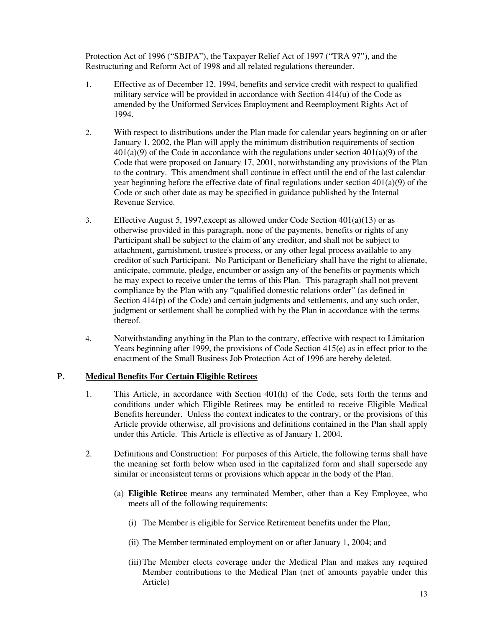Protection Act of 1996 ("SBJPA"), the Taxpayer Relief Act of 1997 ("TRA 97"), and the Restructuring and Reform Act of 1998 and all related regulations thereunder.

- 1. Effective as of December 12, 1994, benefits and service credit with respect to qualified military service will be provided in accordance with Section 414(u) of the Code as amended by the Uniformed Services Employment and Reemployment Rights Act of 1994.
- 2. With respect to distributions under the Plan made for calendar years beginning on or after January 1, 2002, the Plan will apply the minimum distribution requirements of section  $401(a)(9)$  of the Code in accordance with the regulations under section  $401(a)(9)$  of the Code that were proposed on January 17, 2001, notwithstanding any provisions of the Plan to the contrary. This amendment shall continue in effect until the end of the last calendar year beginning before the effective date of final regulations under section  $401(a)(9)$  of the Code or such other date as may be specified in guidance published by the Internal Revenue Service.
- 3. Effective August 5, 1997, except as allowed under Code Section  $401(a)(13)$  or as otherwise provided in this paragraph, none of the payments, benefits or rights of any Participant shall be subject to the claim of any creditor, and shall not be subject to attachment, garnishment, trustee's process, or any other legal process available to any creditor of such Participant. No Participant or Beneficiary shall have the right to alienate, anticipate, commute, pledge, encumber or assign any of the benefits or payments which he may expect to receive under the terms of this Plan. This paragraph shall not prevent compliance by the Plan with any "qualified domestic relations order" (as defined in Section 414(p) of the Code) and certain judgments and settlements, and any such order, judgment or settlement shall be complied with by the Plan in accordance with the terms thereof.
- 4. Notwithstanding anything in the Plan to the contrary, effective with respect to Limitation Years beginning after 1999, the provisions of Code Section 415(e) as in effect prior to the enactment of the Small Business Job Protection Act of 1996 are hereby deleted.

# **P. Medical Benefits For Certain Eligible Retirees**

- 1. This Article, in accordance with Section 401(h) of the Code, sets forth the terms and conditions under which Eligible Retirees may be entitled to receive Eligible Medical Benefits hereunder. Unless the context indicates to the contrary, or the provisions of this Article provide otherwise, all provisions and definitions contained in the Plan shall apply under this Article. This Article is effective as of January 1, 2004.
- 2. Definitions and Construction: For purposes of this Article, the following terms shall have the meaning set forth below when used in the capitalized form and shall supersede any similar or inconsistent terms or provisions which appear in the body of the Plan.
	- (a) **Eligible Retiree** means any terminated Member, other than a Key Employee, who meets all of the following requirements:
		- (i) The Member is eligible for Service Retirement benefits under the Plan;
		- (ii) The Member terminated employment on or after January 1, 2004; and
		- (iii)The Member elects coverage under the Medical Plan and makes any required Member contributions to the Medical Plan (net of amounts payable under this Article)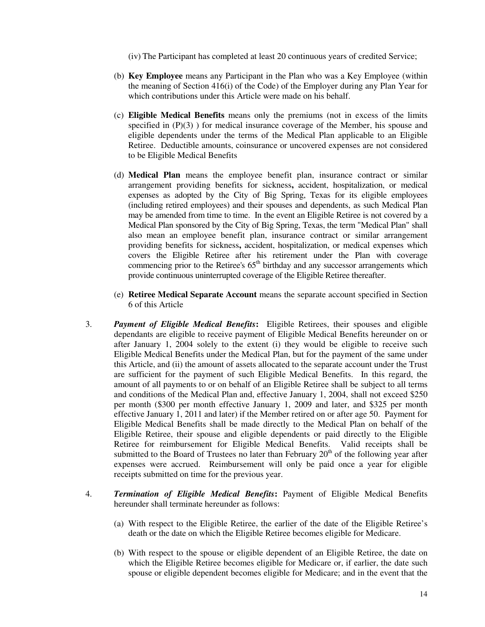(iv) The Participant has completed at least 20 continuous years of credited Service;

- (b) **Key Employee** means any Participant in the Plan who was a Key Employee (within the meaning of Section 416(i) of the Code) of the Employer during any Plan Year for which contributions under this Article were made on his behalf.
- (c) **Eligible Medical Benefits** means only the premiums (not in excess of the limits specified in  $(P)(3)$ ) for medical insurance coverage of the Member, his spouse and eligible dependents under the terms of the Medical Plan applicable to an Eligible Retiree. Deductible amounts, coinsurance or uncovered expenses are not considered to be Eligible Medical Benefits
- (d) **Medical Plan** means the employee benefit plan, insurance contract or similar arrangement providing benefits for sickness**,** accident, hospitalization, or medical expenses as adopted by the City of Big Spring, Texas for its eligible employees (including retired employees) and their spouses and dependents, as such Medical Plan may be amended from time to time. In the event an Eligible Retiree is not covered by a Medical Plan sponsored by the City of Big Spring, Texas, the term "Medical Plan" shall also mean an employee benefit plan, insurance contract or similar arrangement providing benefits for sickness**,** accident, hospitalization, or medical expenses which covers the Eligible Retiree after his retirement under the Plan with coverage commencing prior to the Retiree's  $65<sup>th</sup>$  birthday and any successor arrangements which provide continuous uninterrupted coverage of the Eligible Retiree thereafter.
- (e) **Retiree Medical Separate Account** means the separate account specified in Section 6 of this Article
- 3. *Payment of Eligible Medical Benefits***:** Eligible Retirees, their spouses and eligible dependants are eligible to receive payment of Eligible Medical Benefits hereunder on or after January 1, 2004 solely to the extent (i) they would be eligible to receive such Eligible Medical Benefits under the Medical Plan, but for the payment of the same under this Article, and (ii) the amount of assets allocated to the separate account under the Trust are sufficient for the payment of such Eligible Medical Benefits. In this regard, the amount of all payments to or on behalf of an Eligible Retiree shall be subject to all terms and conditions of the Medical Plan and, effective January 1, 2004, shall not exceed \$250 per month (\$300 per month effective January 1, 2009 and later, and \$325 per month effective January 1, 2011 and later) if the Member retired on or after age 50. Payment for Eligible Medical Benefits shall be made directly to the Medical Plan on behalf of the Eligible Retiree, their spouse and eligible dependents or paid directly to the Eligible Retiree for reimbursement for Eligible Medical Benefits. Valid receipts shall be submitted to the Board of Trustees no later than February  $20<sup>th</sup>$  of the following year after expenses were accrued. Reimbursement will only be paid once a year for eligible receipts submitted on time for the previous year.
- 4. *Termination of Eligible Medical Benefits***:** Payment of Eligible Medical Benefits hereunder shall terminate hereunder as follows:
	- (a) With respect to the Eligible Retiree, the earlier of the date of the Eligible Retiree's death or the date on which the Eligible Retiree becomes eligible for Medicare.
	- (b) With respect to the spouse or eligible dependent of an Eligible Retiree, the date on which the Eligible Retiree becomes eligible for Medicare or, if earlier, the date such spouse or eligible dependent becomes eligible for Medicare; and in the event that the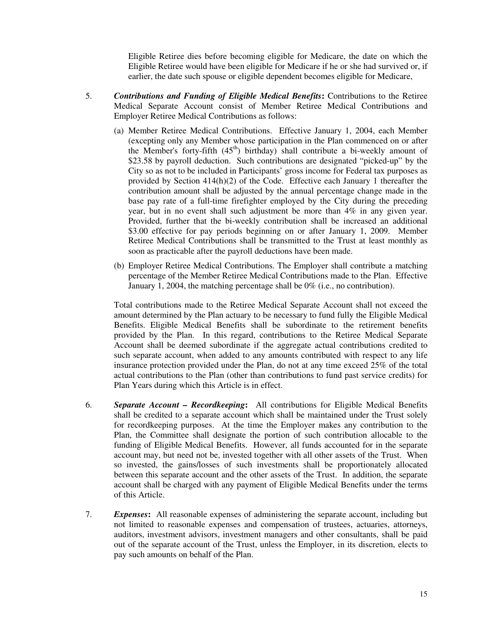Eligible Retiree dies before becoming eligible for Medicare, the date on which the Eligible Retiree would have been eligible for Medicare if he or she had survived or, if earlier, the date such spouse or eligible dependent becomes eligible for Medicare,

- 5. *Contributions and Funding of Eligible Medical Benefits***:** Contributions to the Retiree Medical Separate Account consist of Member Retiree Medical Contributions and Employer Retiree Medical Contributions as follows:
	- (a) Member Retiree Medical Contributions. Effective January 1, 2004, each Member (excepting only any Member whose participation in the Plan commenced on or after the Member's forty-fifth  $(45<sup>th</sup>)$  birthday) shall contribute a bi-weekly amount of \$23.58 by payroll deduction. Such contributions are designated "picked-up" by the City so as not to be included in Participants' gross income for Federal tax purposes as provided by Section 414(h)(2) of the Code. Effective each January 1 thereafter the contribution amount shall be adjusted by the annual percentage change made in the base pay rate of a full-time firefighter employed by the City during the preceding year, but in no event shall such adjustment be more than 4% in any given year. Provided, further that the bi-weekly contribution shall be increased an additional \$3.00 effective for pay periods beginning on or after January 1, 2009. Member Retiree Medical Contributions shall be transmitted to the Trust at least monthly as soon as practicable after the payroll deductions have been made.
	- (b) Employer Retiree Medical Contributions. The Employer shall contribute a matching percentage of the Member Retiree Medical Contributions made to the Plan. Effective January 1, 2004, the matching percentage shall be 0% (i.e., no contribution).

Total contributions made to the Retiree Medical Separate Account shall not exceed the amount determined by the Plan actuary to be necessary to fund fully the Eligible Medical Benefits. Eligible Medical Benefits shall be subordinate to the retirement benefits provided by the Plan. In this regard, contributions to the Retiree Medical Separate Account shall be deemed subordinate if the aggregate actual contributions credited to such separate account, when added to any amounts contributed with respect to any life insurance protection provided under the Plan, do not at any time exceed 25% of the total actual contributions to the Plan (other than contributions to fund past service credits) for Plan Years during which this Article is in effect.

- 6. *Separate Account Recordkeeping***:** All contributions for Eligible Medical Benefits shall be credited to a separate account which shall be maintained under the Trust solely for recordkeeping purposes. At the time the Employer makes any contribution to the Plan, the Committee shall designate the portion of such contribution allocable to the funding of Eligible Medical Benefits. However, all funds accounted for in the separate account may, but need not be, invested together with all other assets of the Trust. When so invested, the gains/losses of such investments shall be proportionately allocated between this separate account and the other assets of the Trust. In addition, the separate account shall be charged with any payment of Eligible Medical Benefits under the terms of this Article.
- 7. *Expenses***:** All reasonable expenses of administering the separate account, including but not limited to reasonable expenses and compensation of trustees, actuaries, attorneys, auditors, investment advisors, investment managers and other consultants, shall be paid out of the separate account of the Trust, unless the Employer, in its discretion, elects to pay such amounts on behalf of the Plan.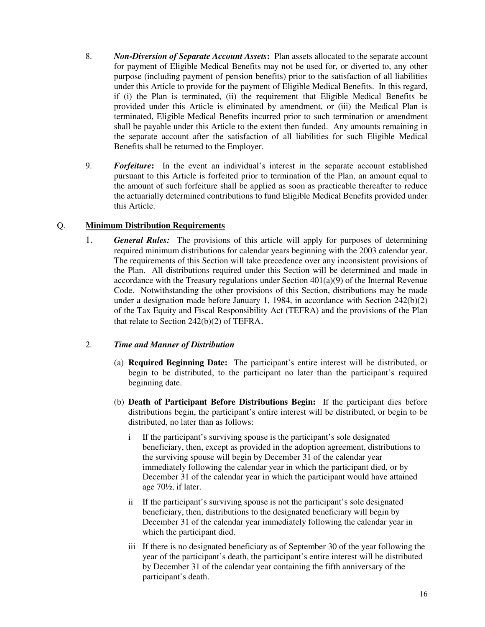- 8. *Non-Diversion of Separate Account Assets***:** Plan assets allocated to the separate account for payment of Eligible Medical Benefits may not be used for, or diverted to, any other purpose (including payment of pension benefits) prior to the satisfaction of all liabilities under this Article to provide for the payment of Eligible Medical Benefits. In this regard, if (i) the Plan is terminated, (ii) the requirement that Eligible Medical Benefits be provided under this Article is eliminated by amendment, or (iii) the Medical Plan is terminated, Eligible Medical Benefits incurred prior to such termination or amendment shall be payable under this Article to the extent then funded. Any amounts remaining in the separate account after the satisfaction of all liabilities for such Eligible Medical Benefits shall be returned to the Employer.
- 9. *Forfeiture***:** In the event an individual's interest in the separate account established pursuant to this Article is forfeited prior to termination of the Plan, an amount equal to the amount of such forfeiture shall be applied as soon as practicable thereafter to reduce the actuarially determined contributions to fund Eligible Medical Benefits provided under this Article.

# Q. **Minimum Distribution Requirements**

1. *General Rules:* The provisions of this article will apply for purposes of determining required minimum distributions for calendar years beginning with the 2003 calendar year. The requirements of this Section will take precedence over any inconsistent provisions of the Plan. All distributions required under this Section will be determined and made in accordance with the Treasury regulations under Section  $401(a)(9)$  of the Internal Revenue Code. Notwithstanding the other provisions of this Section, distributions may be made under a designation made before January 1, 1984, in accordance with Section 242(b)(2) of the Tax Equity and Fiscal Responsibility Act (TEFRA) and the provisions of the Plan that relate to Section 242(b)(2) of TEFRA.

# 2. *Time and Manner of Distribution*

- (a) **Required Beginning Date:** The participant's entire interest will be distributed, or begin to be distributed, to the participant no later than the participant's required beginning date.
- (b) **Death of Participant Before Distributions Begin:** If the participant dies before distributions begin, the participant's entire interest will be distributed, or begin to be distributed, no later than as follows:
	- i If the participant's surviving spouse is the participant's sole designated beneficiary, then, except as provided in the adoption agreement, distributions to the surviving spouse will begin by December 31 of the calendar year immediately following the calendar year in which the participant died, or by December 31 of the calendar year in which the participant would have attained age 70½, if later.
	- ii If the participant's surviving spouse is not the participant's sole designated beneficiary, then, distributions to the designated beneficiary will begin by December 31 of the calendar year immediately following the calendar year in which the participant died.
	- iii If there is no designated beneficiary as of September 30 of the year following the year of the participant's death, the participant's entire interest will be distributed by December 31 of the calendar year containing the fifth anniversary of the participant's death.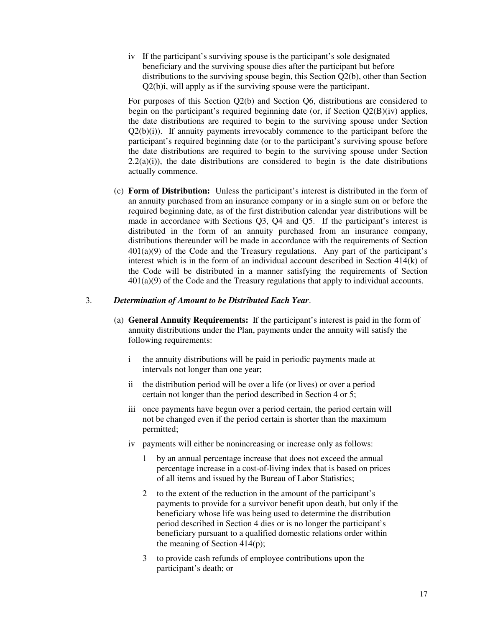iv If the participant's surviving spouse is the participant's sole designated beneficiary and the surviving spouse dies after the participant but before distributions to the surviving spouse begin, this Section Q2(b), other than Section Q2(b)i, will apply as if the surviving spouse were the participant.

For purposes of this Section Q2(b) and Section Q6, distributions are considered to begin on the participant's required beginning date (or, if Section Q2(B)(iv) applies, the date distributions are required to begin to the surviving spouse under Section  $Q2(b)(i)$ . If annuity payments irrevocably commence to the participant before the participant's required beginning date (or to the participant's surviving spouse before the date distributions are required to begin to the surviving spouse under Section  $2.2(a)(i)$ , the date distributions are considered to begin is the date distributions actually commence.

(c) **Form of Distribution:** Unless the participant's interest is distributed in the form of an annuity purchased from an insurance company or in a single sum on or before the required beginning date, as of the first distribution calendar year distributions will be made in accordance with Sections Q3, Q4 and Q5. If the participant's interest is distributed in the form of an annuity purchased from an insurance company, distributions thereunder will be made in accordance with the requirements of Section  $401(a)(9)$  of the Code and the Treasury regulations. Any part of the participant's interest which is in the form of an individual account described in Section 414(k) of the Code will be distributed in a manner satisfying the requirements of Section 401(a)(9) of the Code and the Treasury regulations that apply to individual accounts.

### 3. *Determination of Amount to be Distributed Each Year*.

- (a) **General Annuity Requirements:** If the participant's interest is paid in the form of annuity distributions under the Plan, payments under the annuity will satisfy the following requirements:
	- i the annuity distributions will be paid in periodic payments made at intervals not longer than one year;
	- ii the distribution period will be over a life (or lives) or over a period certain not longer than the period described in Section 4 or 5;
	- iii once payments have begun over a period certain, the period certain will not be changed even if the period certain is shorter than the maximum permitted;
	- iv payments will either be nonincreasing or increase only as follows:
		- 1 by an annual percentage increase that does not exceed the annual percentage increase in a cost-of-living index that is based on prices of all items and issued by the Bureau of Labor Statistics;
		- 2 to the extent of the reduction in the amount of the participant's payments to provide for a survivor benefit upon death, but only if the beneficiary whose life was being used to determine the distribution period described in Section 4 dies or is no longer the participant's beneficiary pursuant to a qualified domestic relations order within the meaning of Section 414(p);
		- 3 to provide cash refunds of employee contributions upon the participant's death; or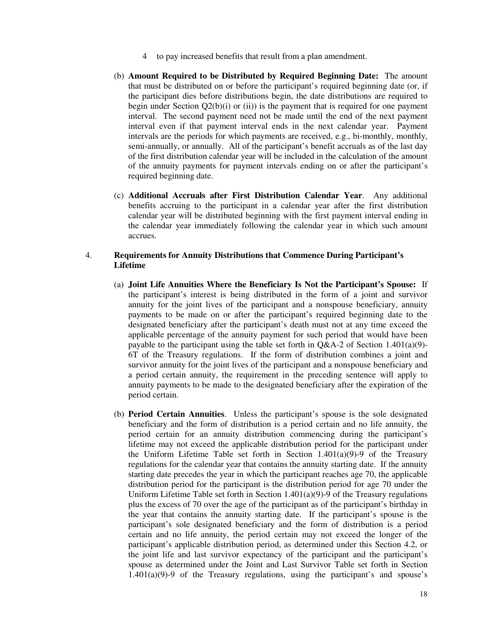- 4 to pay increased benefits that result from a plan amendment.
- (b) **Amount Required to be Distributed by Required Beginning Date:** The amount that must be distributed on or before the participant's required beginning date (or, if the participant dies before distributions begin, the date distributions are required to begin under Section  $Q_2(b)(i)$  or (ii)) is the payment that is required for one payment interval. The second payment need not be made until the end of the next payment interval even if that payment interval ends in the next calendar year. Payment intervals are the periods for which payments are received, e.g., bi-monthly, monthly, semi-annually, or annually. All of the participant's benefit accruals as of the last day of the first distribution calendar year will be included in the calculation of the amount of the annuity payments for payment intervals ending on or after the participant's required beginning date.
- (c) **Additional Accruals after First Distribution Calendar Year**. Any additional benefits accruing to the participant in a calendar year after the first distribution calendar year will be distributed beginning with the first payment interval ending in the calendar year immediately following the calendar year in which such amount accrues.

## 4. **Requirements for Annuity Distributions that Commence During Participant's Lifetime**

- (a) **Joint Life Annuities Where the Beneficiary Is Not the Participant's Spouse:** If the participant's interest is being distributed in the form of a joint and survivor annuity for the joint lives of the participant and a nonspouse beneficiary, annuity payments to be made on or after the participant's required beginning date to the designated beneficiary after the participant's death must not at any time exceed the applicable percentage of the annuity payment for such period that would have been payable to the participant using the table set forth in  $O&A-2$  of Section 1.401(a)(9)-6T of the Treasury regulations. If the form of distribution combines a joint and survivor annuity for the joint lives of the participant and a nonspouse beneficiary and a period certain annuity, the requirement in the preceding sentence will apply to annuity payments to be made to the designated beneficiary after the expiration of the period certain.
- (b) **Period Certain Annuities**. Unless the participant's spouse is the sole designated beneficiary and the form of distribution is a period certain and no life annuity, the period certain for an annuity distribution commencing during the participant's lifetime may not exceed the applicable distribution period for the participant under the Uniform Lifetime Table set forth in Section  $1.401(a)(9)$ -9 of the Treasury regulations for the calendar year that contains the annuity starting date. If the annuity starting date precedes the year in which the participant reaches age 70, the applicable distribution period for the participant is the distribution period for age 70 under the Uniform Lifetime Table set forth in Section  $1.401(a)(9)$ -9 of the Treasury regulations plus the excess of 70 over the age of the participant as of the participant's birthday in the year that contains the annuity starting date. If the participant's spouse is the participant's sole designated beneficiary and the form of distribution is a period certain and no life annuity, the period certain may not exceed the longer of the participant's applicable distribution period, as determined under this Section 4.2, or the joint life and last survivor expectancy of the participant and the participant's spouse as determined under the Joint and Last Survivor Table set forth in Section 1.401(a)(9)-9 of the Treasury regulations, using the participant's and spouse's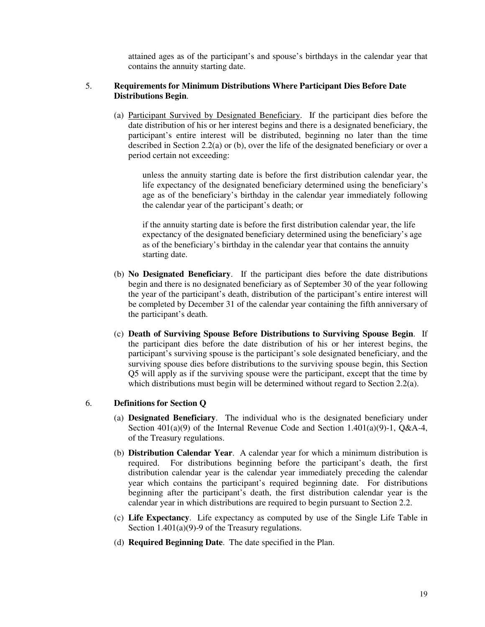attained ages as of the participant's and spouse's birthdays in the calendar year that contains the annuity starting date.

### 5. **Requirements for Minimum Distributions Where Participant Dies Before Date Distributions Begin**.

(a) Participant Survived by Designated Beneficiary. If the participant dies before the date distribution of his or her interest begins and there is a designated beneficiary, the participant's entire interest will be distributed, beginning no later than the time described in Section 2.2(a) or (b), over the life of the designated beneficiary or over a period certain not exceeding:

unless the annuity starting date is before the first distribution calendar year, the life expectancy of the designated beneficiary determined using the beneficiary's age as of the beneficiary's birthday in the calendar year immediately following the calendar year of the participant's death; or

if the annuity starting date is before the first distribution calendar year, the life expectancy of the designated beneficiary determined using the beneficiary's age as of the beneficiary's birthday in the calendar year that contains the annuity starting date.

- (b) **No Designated Beneficiary**. If the participant dies before the date distributions begin and there is no designated beneficiary as of September 30 of the year following the year of the participant's death, distribution of the participant's entire interest will be completed by December 31 of the calendar year containing the fifth anniversary of the participant's death.
- (c) **Death of Surviving Spouse Before Distributions to Surviving Spouse Begin**. If the participant dies before the date distribution of his or her interest begins, the participant's surviving spouse is the participant's sole designated beneficiary, and the surviving spouse dies before distributions to the surviving spouse begin, this Section Q5 will apply as if the surviving spouse were the participant, except that the time by which distributions must begin will be determined without regard to Section 2.2(a).

#### 6. **Definitions for Section Q**

- (a) **Designated Beneficiary**. The individual who is the designated beneficiary under Section  $401(a)(9)$  of the Internal Revenue Code and Section 1.401(a)(9)-1, Q&A-4, of the Treasury regulations.
- (b) **Distribution Calendar Year**. A calendar year for which a minimum distribution is required. For distributions beginning before the participant's death, the first distribution calendar year is the calendar year immediately preceding the calendar year which contains the participant's required beginning date. For distributions beginning after the participant's death, the first distribution calendar year is the calendar year in which distributions are required to begin pursuant to Section 2.2.
- (c) **Life Expectancy**. Life expectancy as computed by use of the Single Life Table in Section 1.401(a)(9)-9 of the Treasury regulations.
- (d) **Required Beginning Date**. The date specified in the Plan.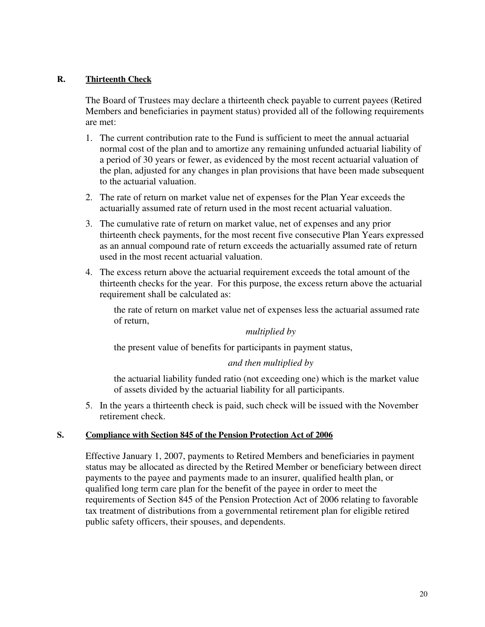## **R. Thirteenth Check**

The Board of Trustees may declare a thirteenth check payable to current payees (Retired Members and beneficiaries in payment status) provided all of the following requirements are met:

- 1. The current contribution rate to the Fund is sufficient to meet the annual actuarial normal cost of the plan and to amortize any remaining unfunded actuarial liability of a period of 30 years or fewer, as evidenced by the most recent actuarial valuation of the plan, adjusted for any changes in plan provisions that have been made subsequent to the actuarial valuation.
- 2. The rate of return on market value net of expenses for the Plan Year exceeds the actuarially assumed rate of return used in the most recent actuarial valuation.
- 3. The cumulative rate of return on market value, net of expenses and any prior thirteenth check payments, for the most recent five consecutive Plan Years expressed as an annual compound rate of return exceeds the actuarially assumed rate of return used in the most recent actuarial valuation.
- 4. The excess return above the actuarial requirement exceeds the total amount of the thirteenth checks for the year. For this purpose, the excess return above the actuarial requirement shall be calculated as:

the rate of return on market value net of expenses less the actuarial assumed rate of return,

## *multiplied by*

the present value of benefits for participants in payment status,

# *and then multiplied by*

the actuarial liability funded ratio (not exceeding one) which is the market value of assets divided by the actuarial liability for all participants.

5. In the years a thirteenth check is paid, such check will be issued with the November retirement check.

## **S. Compliance with Section 845 of the Pension Protection Act of 2006**

Effective January 1, 2007, payments to Retired Members and beneficiaries in payment status may be allocated as directed by the Retired Member or beneficiary between direct payments to the payee and payments made to an insurer, qualified health plan, or qualified long term care plan for the benefit of the payee in order to meet the requirements of Section 845 of the Pension Protection Act of 2006 relating to favorable tax treatment of distributions from a governmental retirement plan for eligible retired public safety officers, their spouses, and dependents.